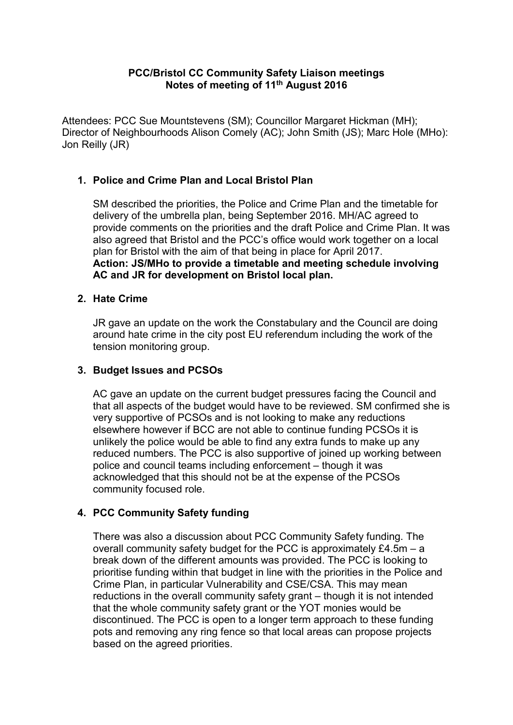## **PCC/Bristol CC Community Safety Liaison meetings Notes of meeting of 11th August 2016**

Attendees: PCC Sue Mountstevens (SM); Councillor Margaret Hickman (MH); Director of Neighbourhoods Alison Comely (AC); John Smith (JS); Marc Hole (MHo): Jon Reilly (JR)

# **1. Police and Crime Plan and Local Bristol Plan**

SM described the priorities, the Police and Crime Plan and the timetable for delivery of the umbrella plan, being September 2016. MH/AC agreed to provide comments on the priorities and the draft Police and Crime Plan. It was also agreed that Bristol and the PCC's office would work together on a local plan for Bristol with the aim of that being in place for April 2017. **Action: JS/MHo to provide a timetable and meeting schedule involving AC and JR for development on Bristol local plan.**

### **2. Hate Crime**

JR gave an update on the work the Constabulary and the Council are doing around hate crime in the city post EU referendum including the work of the tension monitoring group.

### **3. Budget Issues and PCSOs**

AC gave an update on the current budget pressures facing the Council and that all aspects of the budget would have to be reviewed. SM confirmed she is very supportive of PCSOs and is not looking to make any reductions elsewhere however if BCC are not able to continue funding PCSOs it is unlikely the police would be able to find any extra funds to make up any reduced numbers. The PCC is also supportive of joined up working between police and council teams including enforcement – though it was acknowledged that this should not be at the expense of the PCSOs community focused role.

# **4. PCC Community Safety funding**

There was also a discussion about PCC Community Safety funding. The overall community safety budget for the PCC is approximately  $£4.5m - a$ break down of the different amounts was provided. The PCC is looking to prioritise funding within that budget in line with the priorities in the Police and Crime Plan, in particular Vulnerability and CSE/CSA. This may mean reductions in the overall community safety grant – though it is not intended that the whole community safety grant or the YOT monies would be discontinued. The PCC is open to a longer term approach to these funding pots and removing any ring fence so that local areas can propose projects based on the agreed priorities.